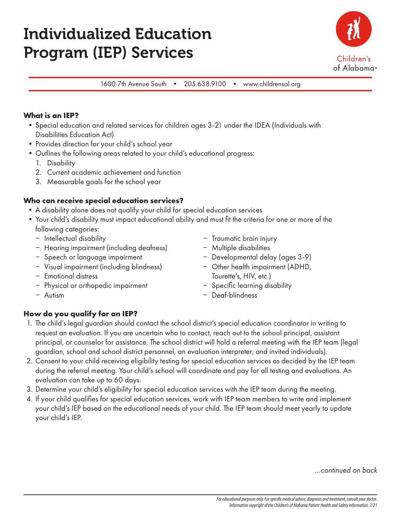# Individualized Education Program (IEP) Services



1600 7th Avenue South • 205.638.9100 • www.childrensal.org

#### **What is an IEP?**

- •Special education and related services for children ages 3-21 under the IDEA (Individuals with Disabilities Education Act)
- Provides direction for your child's school year
- •Outlines the following areas related to your child's educational progress:
	- 1. Disability
	- 2. Current academic achievement and function
	- 3. Measurable goals for the school year

## **Who can receive special education services?**

- •A disability alone does not qualify your child for special education services
- •Your child's disability must impact educational ability and must fit the criteria for one or more of the following categories:
	- Intellectual disability
	- Hearing impairment (including deafness)
	- Speech or language impairment
	- Visual impairment (including blindness)
	- Emotional distress
	- Physical or orthopedic impairment
	- Autism
- Traumatic brain injury
- $-$  Multiple disabilities
- Developmental delay (ages 3-9)
- Other health impairment (ADHD, Tourette's, HIV, etc.)
- Specific learning disability
- Deaf-blindness

#### **How do you qualify for an IEP?**

- 1. The child's legal guardian should contact the school district's special education coordinator in writing to request an evaluation. If you are uncertain who to contact, reach out to the school principal, assistant principal, or counselor for assistance. The school district will hold a referral meeting with the IEP team (legal guardian, school and school district personnel, an evaluation interpreter, and invited individuals).
- 2. Consent to your child receiving eligibility testing for special education services as decided by the IEP team during the referral meeting. Your child's school will coordinate and pay for all testing and evaluations. An evaluation can take up to 60 days.
- 3. Determine your child's eligibility for special education services with the IEP team during the meeting.
- 4. If your child qualifies for special education services, work with IEP team members to write and implement your child's IEP based on the educational needs of your child. The IEP team should meet yearly to update your child's IEP.

*…continued on back*